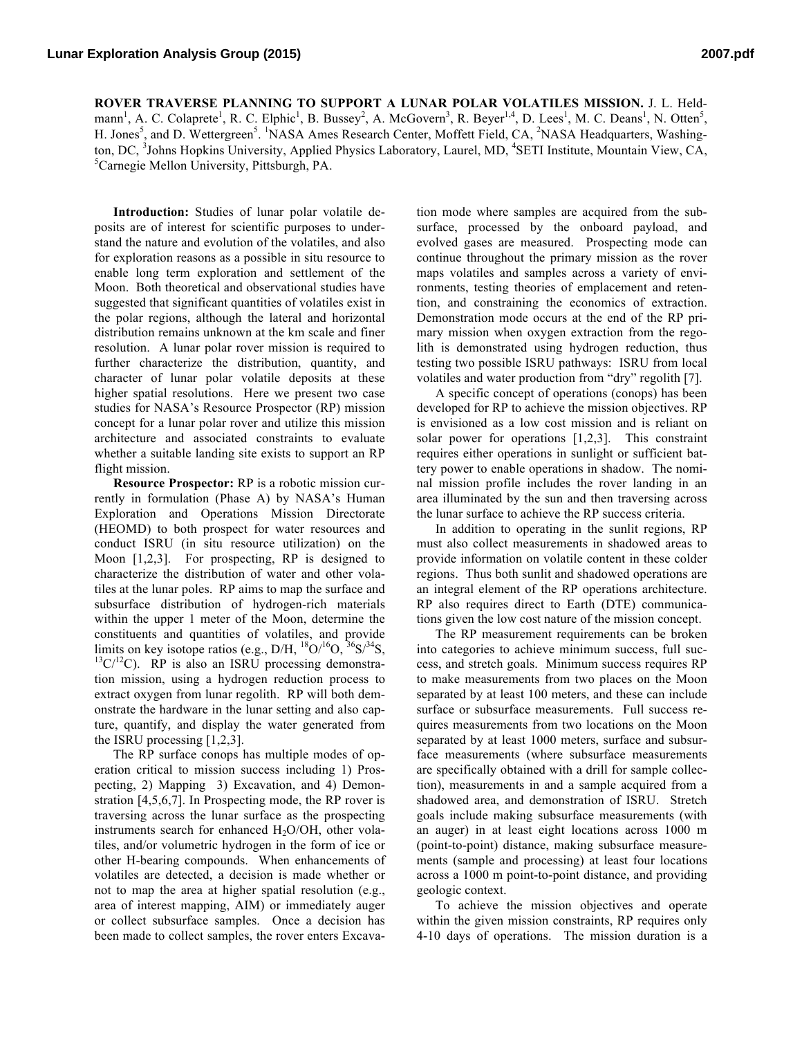**ROVER TRAVERSE PLANNING TO SUPPORT A LUNAR POLAR VOLATILES MISSION.** J. L. Heldmann<sup>1</sup>, A. C. Colaprete<sup>1</sup>, R. C. Elphic<sup>1</sup>, B. Bussey<sup>2</sup>, A. McGovern<sup>3</sup>, R. Beyer<sup>1,4</sup>, D. Lees<sup>1</sup>, M. C. Deans<sup>1</sup>, N. Otten<sup>5</sup>, H. Jones<sup>5</sup>, and D. Wettergreen<sup>5</sup>. <sup>1</sup>NASA Ames Research Center, Moffett Field, CA, <sup>2</sup>NASA Headquarters, Washington, DC, <sup>3</sup>Johns Hopkins University, Applied Physics Laboratory, Laurel, MD, <sup>4</sup>SETI Institute, Mountain View, CA, <sup>5</sup>Carnagia Mallon University, Bitteburgh, BA Carnegie Mellon University, Pittsburgh, PA.

**Introduction:** Studies of lunar polar volatile deposits are of interest for scientific purposes to understand the nature and evolution of the volatiles, and also for exploration reasons as a possible in situ resource to enable long term exploration and settlement of the Moon. Both theoretical and observational studies have suggested that significant quantities of volatiles exist in the polar regions, although the lateral and horizontal distribution remains unknown at the km scale and finer resolution. A lunar polar rover mission is required to further characterize the distribution, quantity, and character of lunar polar volatile deposits at these higher spatial resolutions. Here we present two case studies for NASA's Resource Prospector (RP) mission concept for a lunar polar rover and utilize this mission architecture and associated constraints to evaluate whether a suitable landing site exists to support an RP flight mission.

**Resource Prospector:** RP is a robotic mission currently in formulation (Phase A) by NASA's Human Exploration and Operations Mission Directorate (HEOMD) to both prospect for water resources and conduct ISRU (in situ resource utilization) on the Moon [1,2,3]. For prospecting, RP is designed to characterize the distribution of water and other volatiles at the lunar poles. RP aims to map the surface and subsurface distribution of hydrogen-rich materials within the upper 1 meter of the Moon, determine the constituents and quantities of volatiles, and provide<br>limits on key isotope ratios (e.g.,  $D/H$ ,  ${}^{18}O/{}^{16}O$ ,  ${}^{36}S/{}^{34}S$ ,  $13C/12C$ ). RP is also an ISRU processing demonstration mission, using a hydrogen reduction process to extract oxygen from lunar regolith. RP will both demonstrate the hardware in the lunar setting and also capture, quantify, and display the water generated from the ISRU processing [1,2,3].

The RP surface conops has multiple modes of operation critical to mission success including 1) Prospecting, 2) Mapping 3) Excavation, and 4) Demonstration [4,5,6,7]. In Prospecting mode, the RP rover is traversing across the lunar surface as the prospecting instruments search for enhanced  $H_2O/OH$ , other volatiles, and/or volumetric hydrogen in the form of ice or other H-bearing compounds. When enhancements of volatiles are detected, a decision is made whether or not to map the area at higher spatial resolution (e.g., area of interest mapping, AIM) or immediately auger or collect subsurface samples. Once a decision has been made to collect samples, the rover enters Excavation mode where samples are acquired from the subsurface, processed by the onboard payload, and evolved gases are measured. Prospecting mode can continue throughout the primary mission as the rover maps volatiles and samples across a variety of environments, testing theories of emplacement and retention, and constraining the economics of extraction. Demonstration mode occurs at the end of the RP primary mission when oxygen extraction from the regolith is demonstrated using hydrogen reduction, thus testing two possible ISRU pathways: ISRU from local volatiles and water production from "dry" regolith [7].

A specific concept of operations (conops) has been developed for RP to achieve the mission objectives. RP is envisioned as a low cost mission and is reliant on solar power for operations [1,2,3]. This constraint requires either operations in sunlight or sufficient battery power to enable operations in shadow. The nominal mission profile includes the rover landing in an area illuminated by the sun and then traversing across the lunar surface to achieve the RP success criteria.

In addition to operating in the sunlit regions, RP must also collect measurements in shadowed areas to provide information on volatile content in these colder regions. Thus both sunlit and shadowed operations are an integral element of the RP operations architecture. RP also requires direct to Earth (DTE) communications given the low cost nature of the mission concept.

The RP measurement requirements can be broken into categories to achieve minimum success, full success, and stretch goals. Minimum success requires RP to make measurements from two places on the Moon separated by at least 100 meters, and these can include surface or subsurface measurements. Full success requires measurements from two locations on the Moon separated by at least 1000 meters, surface and subsurface measurements (where subsurface measurements are specifically obtained with a drill for sample collection), measurements in and a sample acquired from a shadowed area, and demonstration of ISRU. Stretch goals include making subsurface measurements (with an auger) in at least eight locations across 1000 m (point-to-point) distance, making subsurface measurements (sample and processing) at least four locations across a 1000 m point-to-point distance, and providing geologic context.

To achieve the mission objectives and operate within the given mission constraints, RP requires only 4-10 days of operations. The mission duration is a